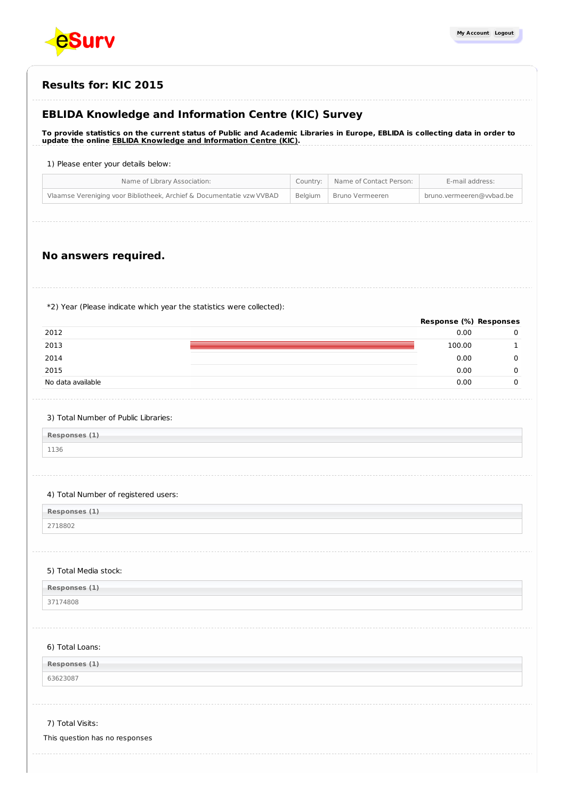

**Response (%) Responses**

## **Results for: KIC 2015**

# **EBLIDA Knowledge and Information Centre (KIC) Survey**

To provide statistics on the current status of Public and Academic Libraries in Europe, EBLIDA is collecting data in order to **update the online EBLIDA Knowledge and [Information](http://www.eblida.org/activities/kic/) Centre (KIC).**

### 1) Please enter your details below:

| Name of Library Association:                                          |         | Country: Name of Contact Person: | E-mail address:          |
|-----------------------------------------------------------------------|---------|----------------------------------|--------------------------|
| Vlaamse Vereniging voor Bibliotheek, Archief & Documentatie vzw VVBAD | Belaium | Bruno Vermeeren                  | bruno.vermeeren@vvbad.be |
|                                                                       |         |                                  |                          |

## **No answers required.**

\*2) Year (Please indicate which year the statistics were collected):

| 2012<br>0.00<br>2013<br>100.00<br>2014<br>0.00<br>2015<br>0.00<br>No data available<br>0.00 | Response (%) Responses |  |
|---------------------------------------------------------------------------------------------|------------------------|--|
|                                                                                             |                        |  |
|                                                                                             |                        |  |
|                                                                                             |                        |  |
|                                                                                             |                        |  |
|                                                                                             |                        |  |

#### 3) Total Number of Public Libraries:

**Responses (1)** 1136

### 4) Total Number of registered users:

**Responses (1)**

2718802

#### 5) Total Media stock:

| Responses (1) |  |  |
|---------------|--|--|
| 174808        |  |  |

#### 6) Total Loans:

**Responses (1)**

63623087

### 7) Total Visits:

This question has no responses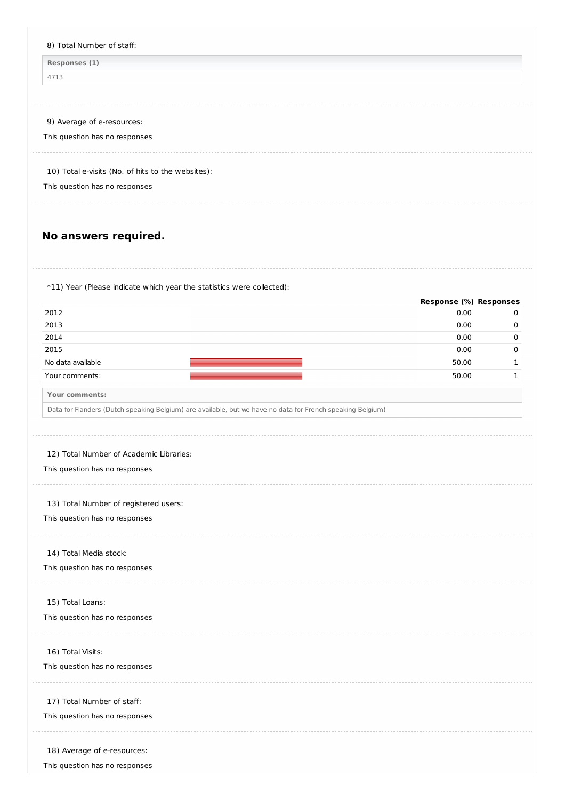| 4713                                                                                                                                                                  |                                       |              |
|-----------------------------------------------------------------------------------------------------------------------------------------------------------------------|---------------------------------------|--------------|
|                                                                                                                                                                       |                                       |              |
| 9) Average of e-resources:                                                                                                                                            |                                       |              |
| This question has no responses                                                                                                                                        |                                       |              |
| 10) Total e-visits (No. of hits to the websites):                                                                                                                     |                                       |              |
| This question has no responses                                                                                                                                        |                                       |              |
| No answers required.                                                                                                                                                  |                                       |              |
| *11) Year (Please indicate which year the statistics were collected):                                                                                                 |                                       |              |
| 2012                                                                                                                                                                  | <b>Response (%) Responses</b><br>0.00 | 0            |
| 2013                                                                                                                                                                  | 0.00                                  | 0            |
| 2014                                                                                                                                                                  | 0.00                                  | 0            |
| 2015                                                                                                                                                                  | 0.00                                  | 0            |
| No data available                                                                                                                                                     | 50.00                                 | $\mathbf{1}$ |
| Your comments:                                                                                                                                                        | 50.00                                 | 1            |
| Your comments:                                                                                                                                                        |                                       |              |
| Data for Flanders (Dutch speaking Belgium) are available, but we have no data for French speaking Belgium)                                                            |                                       |              |
| 12) Total Number of Academic Libraries:                                                                                                                               |                                       |              |
|                                                                                                                                                                       |                                       |              |
| This question has no responses<br>13) Total Number of registered users:<br>This question has no responses<br>14) Total Media stock:<br>This question has no responses |                                       |              |
| 15) Total Loans:<br>This question has no responses                                                                                                                    |                                       |              |
| 16) Total Visits:<br>This question has no responses                                                                                                                   |                                       |              |

This question has no responses